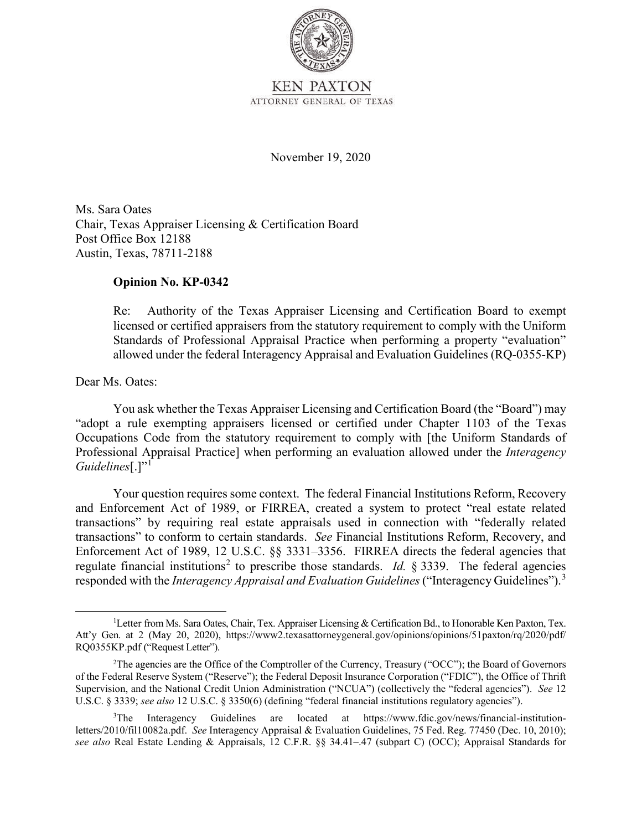

November 19, 2020

 Chair, Texas Appraiser Licensing & Certification Board Ms. Sara Oates Post Office Box 12188 Austin, Texas, 78711-2188

## **Opinion No. KP-0342**

 licensed or certified appraisers from the statutory requirement to comply with the Uniform Re: Authority of the Texas Appraiser Licensing and Certification Board to exempt Standards of Professional Appraisal Practice when performing a property "evaluation" allowed under the federal Interagency Appraisal and Evaluation Guidelines (RQ-0355-KP)

Dear Ms. Oates:

*Guidelines*[.]"<sup>1</sup> You ask whether the Texas Appraiser Licensing and Certification Board (the "Board") may "adopt a rule exempting appraisers licensed or certified under Chapter 1103 of the Texas Occupations Code from the statutory requirement to comply with [the Uniform Standards of Professional Appraisal Practice] when performing an evaluation allowed under the *Interagency* 

 transactions" to conform to certain standards. *See* Financial Institutions Reform, Recovery, and regulate financial institutions<sup>2</sup> to prescribe those standards. *Id.* § 3339. The federal agencies Your question requires some context. The federal Financial Institutions Reform, Recovery and Enforcement Act of 1989, or FIRREA, created a system to protect "real estate related transactions" by requiring real estate appraisals used in connection with "federally related Enforcement Act of 1989, 12 U.S.C. §§ 3331–3356. FIRREA directs the federal agencies that responded with the *Interagency Appraisal and Evaluation Guidelines* ("Interagency Guidelines"). 3

<sup>&</sup>lt;sup>1</sup>Letter from Ms. Sara Oates, Chair, Tex. Appraiser Licensing & Certification Bd., to Honorable Ken Paxton, Tex. RQ0355KP.pdf ("Request Letter").<br><sup>2</sup>The agencies are the Office Att'y Gen. at 2 (May 20, 2020), <https://www2.texasattorneygeneral.gov/opinions/opinions/51paxton/rq/2020/pdf>/

 Supervision, and the National Credit Union Administration ("NCUA") (collectively the "federal agencies"). *See* 12 U.S.C. § 3339; *see also* 12 U.S.C. § 3350(6) (defining "federal financial institutions regulatory agencies"). <sup>2</sup>The agencies are the Office of the Comptroller of the Currency, Treasury ("OCC"); the Board of Governors of the Federal Reserve System ("Reserve"); the Federal Deposit Insurance Corporation ("FDIC"), the Office of Thrift

<sup>&</sup>lt;sup>3</sup>The Interagency Guidelines are located at [https://www.fdic.gov/news/financial-institution-](https://www.fdic.gov/news/financial-institution) letters/2010/fil10082a.pdf. *See* Interagency Appraisal & Evaluation Guidelines, 75 Fed. Reg. 77450 (Dec. 10, 2010); *see also* Real Estate Lending & Appraisals, 12 C.F.R. §§ [34.41–.47](https://34.41�.47) (subpart C) (OCC); Appraisal Standards for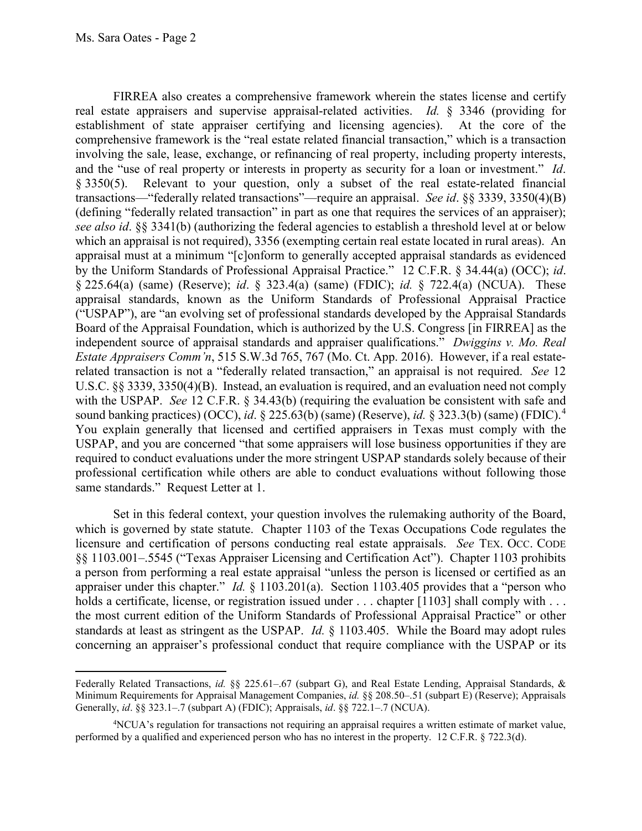real estate appraisers and supervise appraisal-related activities. *Id.* § 3346 (providing for establishment of state appraiser certifying and licensing agencies). At the core of the and the "use of real property or interests in property as security for a loan or investment." *Id*. which an appraisal is not required), 3356 (exempting certain real estate located in rural areas). An appraisal must at a minimum "[c]onform to generally accepted appraisal standards as evidenced § 225.64(a) (same) (Reserve); *id*. § 323.4(a) (same) (FDIC); *id.* § 722.4(a) (NCUA). These  independent source of appraisal standards and appraiser qualifications." *Dwiggins v. Mo. Real Estate Appraisers Comm'n*, 515 S.W.3d 765, 767 (Mo. Ct. App. 2016). However, if a real estate- with the USPAP. *See* 12 C.F.R. § 34.43(b) (requiring the evaluation be consistent with safe and sound banking practices) (OCC), *id*. § 225.63(b) (same) (Reserve), *id.* § 323.3(b) (same) (FDIC). 4 FIRREA also creates a comprehensive framework wherein the states license and certify comprehensive framework is the "real estate related financial transaction," which is a transaction involving the sale, lease, exchange, or refinancing of real property, including property interests, § 3350(5). Relevant to your question, only a subset of the real estate-related financial transactions—"federally related transactions"—require an appraisal. *See id*. §§ 3339, 3350(4)(B) (defining "federally related transaction" in part as one that requires the services of an appraiser); *see also id*. §§ 3341(b) (authorizing the federal agencies to establish a threshold level at or below by the Uniform Standards of Professional Appraisal Practice." 12 C.F.R. § 34.44(a) (OCC); *id*. appraisal standards, known as the Uniform Standards of Professional Appraisal Practice ("USPAP"), are "an evolving set of professional standards developed by the Appraisal Standards Board of the Appraisal Foundation, which is authorized by the U.S. Congress [in FIRREA] as the related transaction is not a "federally related transaction," an appraisal is not required. *See* 12 U.S.C. §§ 3339, 3350(4)(B). Instead, an evaluation is required, and an evaluation need not comply You explain generally that licensed and certified appraisers in Texas must comply with the USPAP, and you are concerned "that some appraisers will lose business opportunities if they are required to conduct evaluations under the more stringent USPAP standards solely because of their professional certification while others are able to conduct evaluations without following those same standards." Request Letter at 1.

 Set in this federal context, your question involves the rulemaking authority of the Board, which is governed by state statute. Chapter 1103 of the Texas Occupations Code regulates the licensure and certification of persons conducting real estate appraisals. *See* TEX. OCC. CODE §§ 1103.001–.5545 ("Texas Appraiser Licensing and Certification Act"). Chapter 1103 prohibits holds a certificate, license, or registration issued under . . . chapter [1103] shall comply with . . . standards at least as stringent as the USPAP. *Id.* § 1103.405. While the Board may adopt rules a person from performing a real estate appraisal "unless the person is licensed or certified as an appraiser under this chapter." *Id.* § 1103.201(a). Section 1103.405 provides that a "person who the most current edition of the Uniform Standards of Professional Appraisal Practice" or other concerning an appraiser's professional conduct that require compliance with the USPAP or its

 Federally Related Transactions, *id.* §§ [225.61–.67](https://225.61�.67) (subpart G), and Real Estate Lending, Appraisal Standards, & Minimum Requirements for Appraisal Management Companies, *id.* §§ [208.50–.51](https://208.50�.51) (subpart E) (Reserve); Appraisals Generally, *id*. §§ 323.1–.7 (subpart A) (FDIC); Appraisals, *id*. §§ 722.1–.7 (NCUA).

 performed by a qualified and experienced person who has no interest in the property. 12 C.F.R. § 722.3(d). 4 NCUA's regulation for transactions not requiring an appraisal requires a written estimate of market value,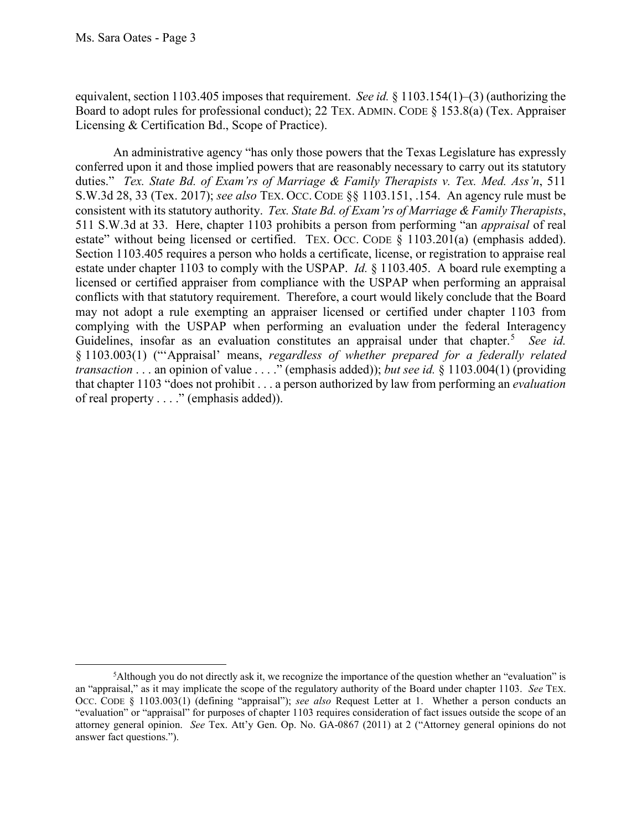equivalent, section 1103.405 imposes that requirement. *See id.* § 1103.154(1)–(3) (authorizing the Board to adopt rules for professional conduct); 22 TEX. ADMIN. CODE § 153.8(a) (Tex. Appraiser Licensing & Certification Bd., Scope of Practice).

 An administrative agency "has only those powers that the Texas Legislature has expressly duties." *Tex. State Bd. of Exam'rs of Marriage & Family Therapists v. Tex. Med. Ass'n*, 511 S.W.3d 28, 33 (Tex. 2017); *see also* TEX. OCC. CODE §§ 1103.151, .154. An agency rule must be consistent with its statutory authority. *Tex. State Bd. of Exam'rs of Marriage & Family Therapists*, 511 S.W.3d at 33. Here, chapter 1103 prohibits a person from performing "an *appraisal* of real estate" without being licensed or certified. TEX. OCC. CODE § 1103.201(a) (emphasis added). estate under chapter 1103 to comply with the USPAP. *Id.* § 1103.405. A board rule exempting a licensed or certified appraiser from compliance with the USPAP when performing an appraisal complying with the USPAP when performing an evaluation under the federal Interagency Guidelines, insofar as an evaluation constitutes an appraisal under that chapter. <sup>5</sup>*See id.*  conferred upon it and those implied powers that are reasonably necessary to carry out its statutory Section 1103.405 requires a person who holds a certificate, license, or registration to appraise real conflicts with that statutory requirement. Therefore, a court would likely conclude that the Board may not adopt a rule exempting an appraiser licensed or certified under chapter 1103 from § 1103.003(1) ("'Appraisal' means, *regardless of whether prepared for a federally related transaction* . . . an opinion of value . . . ." (emphasis added)); *but see id.* § 1103.004(1) (providing that chapter 1103 "does not prohibit . . . a person authorized by law from performing an *evaluation*  of real property . . . ." (emphasis added)).

 an "appraisal," as it may implicate the scope of the regulatory authority of the Board under chapter 1103. *See* TEX. OCC. CODE § 1103.003(1) (defining "appraisal"); *see also* Request Letter at 1. Whether a person conducts an attorney general opinion. *See* Tex. Att'y Gen. Op. No. GA-0867 (2011) at 2 ("Attorney general opinions do not 5 Although you do not directly ask it, we recognize the importance of the question whether an "evaluation" is "evaluation" or "appraisal" for purposes of chapter 1103 requires consideration of fact issues outside the scope of an answer fact questions.").